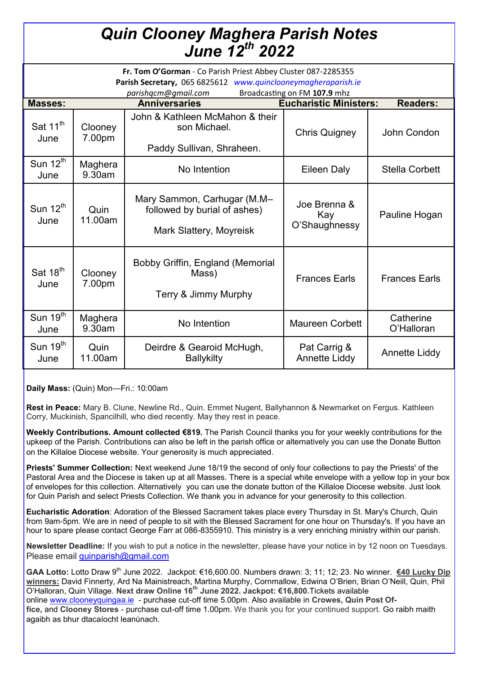# *Quin Clooney Maghera Parish Notes June 12th 2022*

| Fr. Tom O'Gorman - Co Parish Priest Abbey Cluster 087-2285355<br>Parish Secretary, 065 6825612 www.quinclooneymagheraparish.ie<br>Broadcasting on FM 107.9 mhz<br>parishqcm@qmail.com |                   |                                                                                        |                                      |                         |
|---------------------------------------------------------------------------------------------------------------------------------------------------------------------------------------|-------------------|----------------------------------------------------------------------------------------|--------------------------------------|-------------------------|
| <b>Masses:</b>                                                                                                                                                                        |                   | <b>Anniversaries</b>                                                                   | <b>Eucharistic Ministers:</b>        | <b>Readers:</b>         |
| Sat 11 <sup>th</sup><br>June                                                                                                                                                          | Clooney<br>7.00pm | John & Kathleen McMahon & their<br>son Michael.<br>Paddy Sullivan, Shraheen.           | <b>Chris Quigney</b>                 | John Condon             |
| Sun $12^{th}$<br>June                                                                                                                                                                 | Maghera<br>9.30am | No Intention                                                                           | <b>Eileen Daly</b>                   | <b>Stella Corbett</b>   |
| Sun $12th$<br>June                                                                                                                                                                    | Quin<br>11.00am   | Mary Sammon, Carhugar (M.M-<br>followed by burial of ashes)<br>Mark Slattery, Moyreisk | Joe Brenna &<br>Kay<br>O'Shaughnessy | Pauline Hogan           |
| Sat 18 <sup>th</sup><br>June                                                                                                                                                          | Clooney<br>7.00pm | Bobby Griffin, England (Memorial<br>Mass)<br>Terry & Jimmy Murphy                      | <b>Frances Earls</b>                 | <b>Frances Earls</b>    |
| Sun 19 <sup>th</sup><br>June                                                                                                                                                          | Maghera<br>9.30am | No Intention                                                                           | <b>Maureen Corbett</b>               | Catherine<br>O'Halloran |
| Sun 19 <sup>th</sup><br>June                                                                                                                                                          | Quin<br>11.00am   | Deirdre & Gearoid McHugh,<br><b>Ballykilty</b>                                         | Pat Carrig &<br><b>Annette Liddy</b> | <b>Annette Liddy</b>    |

**Daily Mass:** (Quin) Mon—Fri.: 10:00am

**Rest in Peace:** Mary B. Clune, Newline Rd., Quin. Emmet Nugent, Ballyhannon & Newmarket on Fergus. Kathleen Corry, Muckinish, Spancilhill, who died recently. May they rest in peace.

**Weekly Contributions. Amount collected €819.** The Parish Council thanks you for your weekly contributions for the upkeep of the Parish. Contributions can also be left in the parish office or alternatively you can use the Donate Button on the Killaloe Diocese website. Your generosity is much appreciated.

**Priests' Summer Collection:** Next weekend June 18/19 the second of only four collections to pay the Priests' of the Pastoral Area and the Diocese is taken up at all Masses. There is a special white envelope with a yellow top in your box of envelopes for this collection. Alternatively you can use the donate button of the Killaloe Diocese website. Just look for Quin Parish and select Priests Collection. We thank you in advance for your generosity to this collection.

**Eucharistic Adoration**: Adoration of the Blessed Sacrament takes place every Thursday in St. Mary's Church, Quin from 9am-5pm. We are in need of people to sit with the Blessed Sacrament for one hour on Thursday's. If you have an hour to spare please contact George Farr at 086-8355910. This ministry is a very enriching ministry within our parish.

**Newsletter Deadline:** If you wish to put a notice in the newsletter, please have your notice in by 12 noon on Tuesdays. Please email [quinparish@gmail.com](mailto:quinparish@gmail.com)

GAA Lotto: Lotto Draw 9<sup>th</sup> June 2022. Jackpot: €16,600.00. Numbers drawn: 3; 11; 12; 23. No winner. €40 Lucky Dip **winners:** David Finnerty, Ard Na Mainistreach, Martina Murphy, Cornmallow, Edwina O'Brien, Brian O'Neill, Quin, Phil O'Halloran, Quin Village. **Next draw Online 16th June 2022. Jackpot: €16,800.**Tickets available online [www.clooneyquingaa.ie](http://www.clooneyquingaa.ie/) - purchase cut-off time 5.00pm. Also available in **Crowes, Quin Post Office,** and **Clooney Stores** - purchase cut-off time 1.00pm. We thank you for your continued support. Go raibh maith agaibh as bhur dtacaíocht leanúnach.